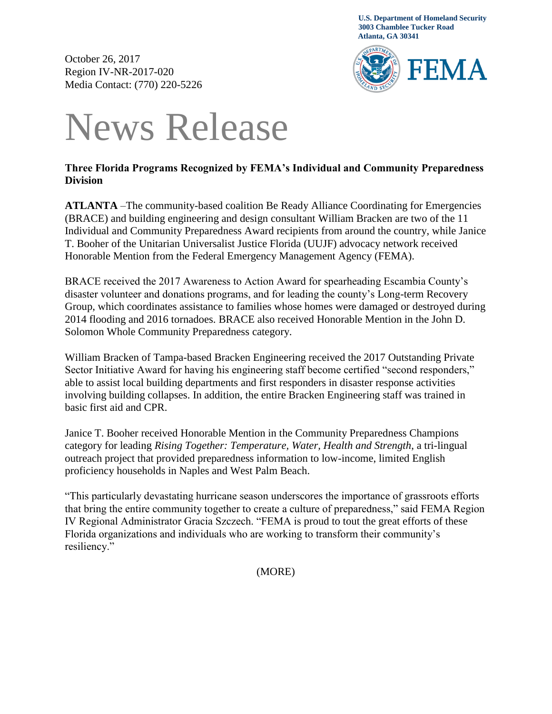**U.S. Department of Homeland Security 3003 Chamblee Tucker Road Atlanta, GA 30341**

October 26, 2017 Region IV-NR-2017-020 Media Contact: (770) 220-5226



## News Release

## **Three Florida Programs Recognized by FEMA's Individual and Community Preparedness Division**

**ATLANTA** –The community-based coalition Be Ready Alliance Coordinating for Emergencies (BRACE) and building engineering and design consultant William Bracken are two of the 11 Individual and Community Preparedness Award recipients from around the country, while Janice T. Booher of the Unitarian Universalist Justice Florida (UUJF) advocacy network received Honorable Mention from the Federal Emergency Management Agency (FEMA).

BRACE received the 2017 Awareness to Action Award for spearheading Escambia County's disaster volunteer and donations programs, and for leading the county's Long-term Recovery Group, which coordinates assistance to families whose homes were damaged or destroyed during 2014 flooding and 2016 tornadoes. BRACE also received Honorable Mention in the John D. Solomon Whole Community Preparedness category.

William Bracken of Tampa-based Bracken Engineering received the 2017 Outstanding Private Sector Initiative Award for having his engineering staff become certified "second responders," able to assist local building departments and first responders in disaster response activities involving building collapses. In addition, the entire Bracken Engineering staff was trained in basic first aid and CPR.

Janice T. Booher received Honorable Mention in the Community Preparedness Champions category for leading *Rising Together: Temperature, Water, Health and Strength*, a tri-lingual outreach project that provided preparedness information to low-income, limited English proficiency households in Naples and West Palm Beach.

"This particularly devastating hurricane season underscores the importance of grassroots efforts that bring the entire community together to create a culture of preparedness," said FEMA Region IV Regional Administrator Gracia Szczech. "FEMA is proud to tout the great efforts of these Florida organizations and individuals who are working to transform their community's resiliency."

(MORE)